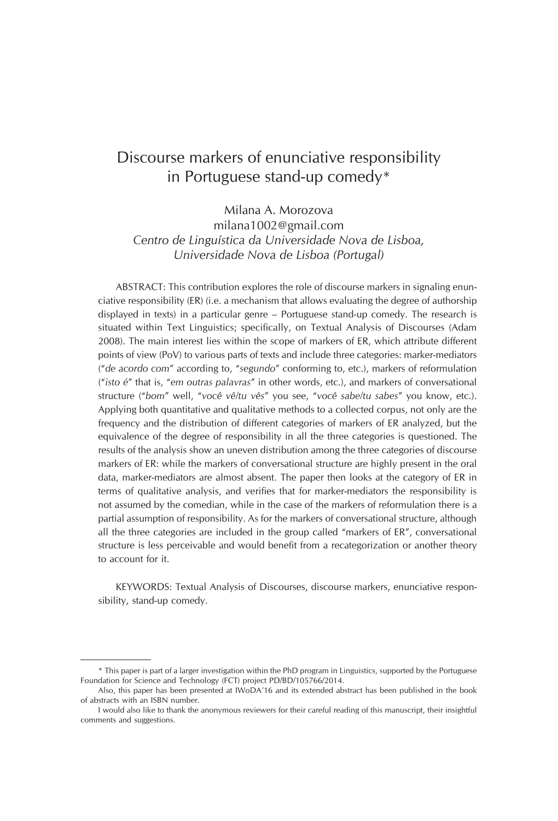# Discourse markers of enunciative responsibility in Portuguese stand-up comedy\*

Milana A. Morozova

milana1002@gmail.com *Centro de Linguística da Universidade Nova de Lisboa, Universidade Nova de Lisboa (Portugal)*

ABSTRACT: This contribution explores the role of discourse markers in signaling enunciative responsibility (ER) (i.e. a mechanism that allows evaluating the degree of authorship displayed in texts) in a particular genre – Portuguese stand-up comedy. The research is situated within Text Linguistics; specifically, on Textual Analysis of Discourses (Adam 2008). The main interest lies within the scope of markers of ER, which attribute different points of view (PoV) to various parts of texts and include three categories: marker-mediators ("*de acordo com*" according to, "*segundo*" conforming to, etc.), markers of reformulation ("*isto é*" that is, "*em outras palavras*" in other words, etc.), and markers of conversational structure ("*bom*" well, "*você vê/tu vês*" you see, "*você sabe/tu sabes*" you know, etc.). Applying both quantitative and qualitative methods to a collected corpus, not only are the frequency and the distribution of different categories of markers of ER analyzed, but the equivalence of the degree of responsibility in all the three categories is questioned. The results of the analysis show an uneven distribution among the three categories of discourse markers of ER: while the markers of conversational structure are highly present in the oral data, marker-mediators are almost absent. The paper then looks at the category of ER in terms of qualitative analysis, and verifies that for marker-mediators the responsibility is not assumed by the comedian, while in the case of the markers of reformulation there is a partial assumption of responsibility. As for the markers of conversational structure, although all the three categories are included in the group called "markers of ER", conversational structure is less perceivable and would benefit from a recategorization or another theory to account for it.

KEYWORDS: Textual Analysis of Discourses, discourse markers, enunciative responsibility, stand-up comedy.

<sup>\*</sup> This paper is part of a larger investigation within the PhD program in Linguistics, supported by the Portuguese Foundation for Science and Technology (FCT) project PD/BD/105766/2014.

Also, this paper has been presented at IWoDA'16 and its extended abstract has been published in the book of abstracts with an ISBN number.

I would also like to thank the anonymous reviewers for their careful reading of this manuscript, their insightful comments and suggestions.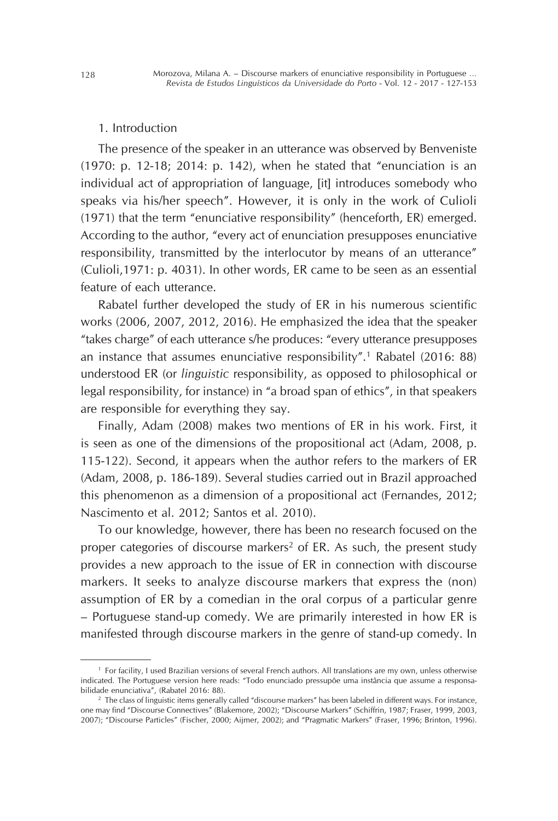#### 1. Introduction

The presence of the speaker in an utterance was observed by Benveniste (1970: p. 12-18; 2014: p. 142), when he stated that "enunciation is an individual act of appropriation of language, [it] introduces somebody who speaks via his/her speech". However, it is only in the work of Culioli (1971) that the term "enunciative responsibility" (henceforth, ER) emerged. According to the author, "every act of enunciation presupposes enunciative responsibility, transmitted by the interlocutor by means of an utterance" (Culioli,1971: p. 4031). In other words, ER came to be seen as an essential feature of each utterance.

Rabatel further developed the study of ER in his numerous scientific works (2006, 2007, 2012, 2016). He emphasized the idea that the speaker "takes charge" of each utterance s/he produces: "every utterance presupposes an instance that assumes enunciative responsibility".1 Rabatel (2016: 88) understood ER (or *linguistic* responsibility, as opposed to philosophical or legal responsibility, for instance) in "a broad span of ethics", in that speakers are responsible for everything they say.

Finally, Adam (2008) makes two mentions of ER in his work. First, it is seen as one of the dimensions of the propositional act (Adam, 2008, p. 115-122). Second, it appears when the author refers to the markers of ER (Adam, 2008, p. 186-189). Several studies carried out in Brazil approached this phenomenon as a dimension of a propositional act (Fernandes, 2012; Nascimento et al. 2012; Santos et al. 2010).

To our knowledge, however, there has been no research focused on the proper categories of discourse markers<sup>2</sup> of ER. As such, the present study provides a new approach to the issue of ER in connection with discourse markers. It seeks to analyze discourse markers that express the (non) assumption of ER by a comedian in the oral corpus of a particular genre – Portuguese stand-up comedy. We are primarily interested in how ER is manifested through discourse markers in the genre of stand-up comedy. In

<sup>1</sup> For facility, I used Brazilian versions of several French authors. All translations are my own, unless otherwise indicated. The Portuguese version here reads: "Todo enunciado pressupõe uma instância que assume a responsabilidade enunciativa", (Rabatel 2016: 88).

<sup>&</sup>lt;sup>2</sup> The class of linguistic items generally called "discourse markers" has been labeled in different ways. For instance, one may find "Discourse Connectives" (Blakemore, 2002); "Discourse Markers" (Schiffrin, 1987; Fraser, 1999, 2003, 2007); "Discourse Particles" (Fischer, 2000; Aijmer, 2002); and "Pragmatic Markers" (Fraser, 1996; Brinton, 1996).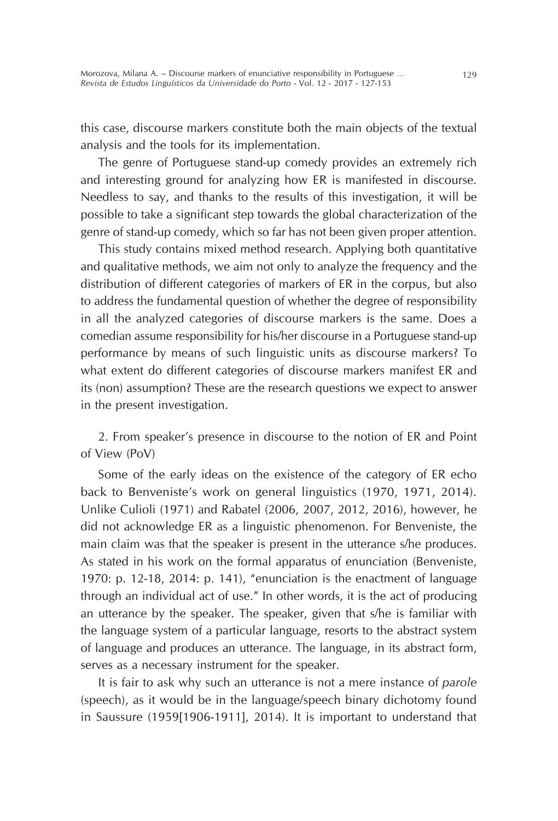this case, discourse markers constitute both the main objects of the textual analysis and the tools for its implementation.

The genre of Portuguese stand-up comedy provides an extremely rich and interesting ground for analyzing how ER is manifested in discourse. Needless to say, and thanks to the results of this investigation, it will be possible to take a significant step towards the global characterization of the genre of stand-up comedy, which so far has not been given proper attention.

This study contains mixed method research. Applying both quantitative and qualitative methods, we aim not only to analyze the frequency and the distribution of different categories of markers of ER in the corpus, but also to address the fundamental question of whether the degree of responsibility in all the analyzed categories of discourse markers is the same. Does a comedian assume responsibility for his/her discourse in a Portuguese stand-up performance by means of such linguistic units as discourse markers? To what extent do different categories of discourse markers manifest ER and its (non) assumption? These are the research questions we expect to answer in the present investigation.

2. From speaker's presence in discourse to the notion of ER and Point of View (PoV)

Some of the early ideas on the existence of the category of ER echo back to Benveniste's work on general linguistics (1970, 1971, 2014). Unlike Culioli (1971) and Rabatel (2006, 2007, 2012, 2016), however, he did not acknowledge ER as a linguistic phenomenon. For Benveniste, the main claim was that the speaker is present in the utterance s/he produces. As stated in his work on the formal apparatus of enunciation (Benveniste, 1970: p. 12-18, 2014: p. 141), "enunciation is the enactment of language through an individual act of use." In other words, it is the act of producing an utterance by the speaker. The speaker, given that s/he is familiar with the language system of a particular language, resorts to the abstract system of language and produces an utterance. The language, in its abstract form, serves as a necessary instrument for the speaker.

It is fair to ask why such an utterance is not a mere instance of *parole* (speech), as it would be in the language/speech binary dichotomy found in Saussure (1959[1906-1911], 2014). It is important to understand that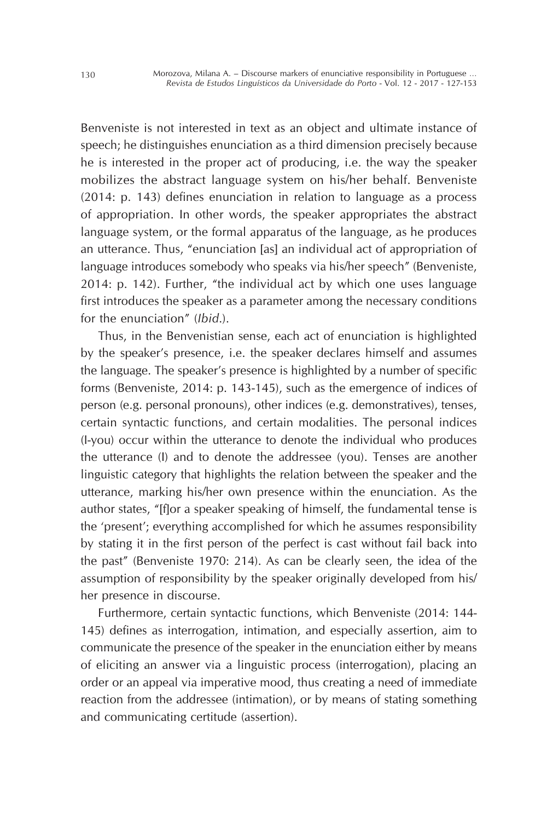Benveniste is not interested in text as an object and ultimate instance of speech; he distinguishes enunciation as a third dimension precisely because he is interested in the proper act of producing, i.e. the way the speaker mobilizes the abstract language system on his/her behalf. Benveniste (2014: p. 143) defines enunciation in relation to language as a process of appropriation. In other words, the speaker appropriates the abstract language system, or the formal apparatus of the language, as he produces an utterance. Thus, "enunciation [as] an individual act of appropriation of language introduces somebody who speaks via his/her speech" (Benveniste, 2014: p. 142). Further, "the individual act by which one uses language first introduces the speaker as a parameter among the necessary conditions for the enunciation" (*Ibid*.).

Thus, in the Benvenistian sense, each act of enunciation is highlighted by the speaker's presence, i.e. the speaker declares himself and assumes the language. The speaker's presence is highlighted by a number of specific forms (Benveniste, 2014: p. 143-145), such as the emergence of indices of person (e.g. personal pronouns), other indices (e.g. demonstratives), tenses, certain syntactic functions, and certain modalities. The personal indices (I-you) occur within the utterance to denote the individual who produces the utterance (I) and to denote the addressee (you). Tenses are another linguistic category that highlights the relation between the speaker and the utterance, marking his/her own presence within the enunciation. As the author states, "[f]or a speaker speaking of himself, the fundamental tense is the 'present'; everything accomplished for which he assumes responsibility by stating it in the first person of the perfect is cast without fail back into the past" (Benveniste 1970: 214). As can be clearly seen, the idea of the assumption of responsibility by the speaker originally developed from his/ her presence in discourse.

Furthermore, certain syntactic functions, which Benveniste (2014: 144- 145) defines as interrogation, intimation, and especially assertion, aim to communicate the presence of the speaker in the enunciation either by means of eliciting an answer via a linguistic process (interrogation), placing an order or an appeal via imperative mood, thus creating a need of immediate reaction from the addressee (intimation), or by means of stating something and communicating certitude (assertion).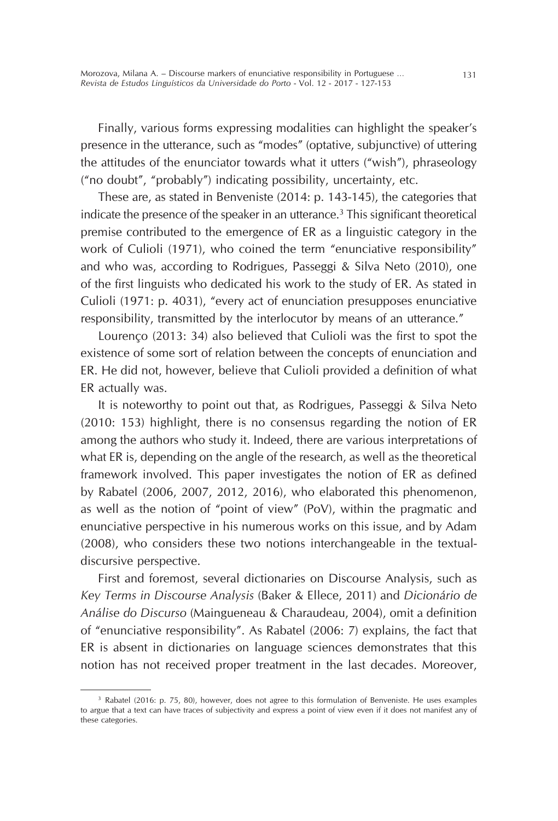Finally, various forms expressing modalities can highlight the speaker's presence in the utterance, such as "modes" (optative, subjunctive) of uttering the attitudes of the enunciator towards what it utters ("wish"), phraseology ("no doubt", "probably") indicating possibility, uncertainty, etc.

These are, as stated in Benveniste (2014: p. 143-145), the categories that indicate the presence of the speaker in an utterance.<sup>3</sup> This significant theoretical premise contributed to the emergence of ER as a linguistic category in the work of Culioli (1971), who coined the term "enunciative responsibility" and who was, according to Rodrigues, Passeggi & Silva Neto (2010), one of the first linguists who dedicated his work to the study of ER. As stated in Culioli (1971: p. 4031), "every act of enunciation presupposes enunciative responsibility, transmitted by the interlocutor by means of an utterance."

Lourenço (2013: 34) also believed that Culioli was the first to spot the existence of some sort of relation between the concepts of enunciation and ER. He did not, however, believe that Culioli provided a definition of what ER actually was.

It is noteworthy to point out that, as Rodrigues, Passeggi & Silva Neto (2010: 153) highlight, there is no consensus regarding the notion of ER among the authors who study it. Indeed, there are various interpretations of what ER is, depending on the angle of the research, as well as the theoretical framework involved. This paper investigates the notion of ER as defined by Rabatel (2006, 2007, 2012, 2016), who elaborated this phenomenon, as well as the notion of "point of view" (PoV), within the pragmatic and enunciative perspective in his numerous works on this issue, and by Adam (2008), who considers these two notions interchangeable in the textualdiscursive perspective.

First and foremost, several dictionaries on Discourse Analysis, such as *Key Terms in Discourse Analysis* (Baker & Ellece, 2011) and *Dicionário de Análise do Discurso* (Maingueneau & Charaudeau, 2004), omit a definition of "enunciative responsibility". As Rabatel (2006: 7) explains, the fact that ER is absent in dictionaries on language sciences demonstrates that this notion has not received proper treatment in the last decades. Moreover,

<sup>3</sup> Rabatel (2016: p. 75, 80), however, does not agree to this formulation of Benveniste. He uses examples to argue that a text can have traces of subjectivity and express a point of view even if it does not manifest any of these categories.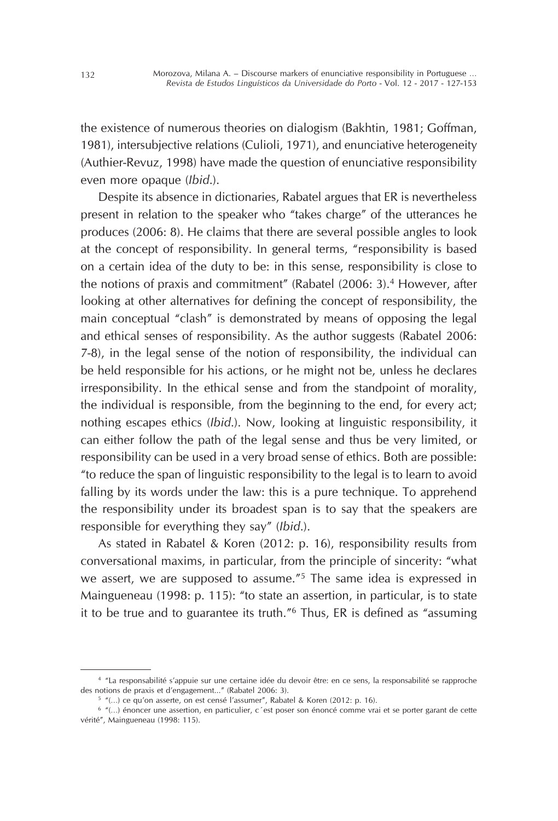the existence of numerous theories on dialogism (Bakhtin, 1981; Goffman, 1981), intersubjective relations (Culioli, 1971), and enunciative heterogeneity (Authier-Revuz, 1998) have made the question of enunciative responsibility even more opaque (*Ibid*.).

Despite its absence in dictionaries, Rabatel argues that ER is nevertheless present in relation to the speaker who "takes charge" of the utterances he produces (2006: 8). He claims that there are several possible angles to look at the concept of responsibility. In general terms, "responsibility is based on a certain idea of the duty to be: in this sense, responsibility is close to the notions of praxis and commitment" (Rabatel (2006: 3).<sup>4</sup> However, after looking at other alternatives for defining the concept of responsibility, the main conceptual "clash" is demonstrated by means of opposing the legal and ethical senses of responsibility. As the author suggests (Rabatel 2006: 7-8), in the legal sense of the notion of responsibility, the individual can be held responsible for his actions, or he might not be, unless he declares irresponsibility. In the ethical sense and from the standpoint of morality, the individual is responsible, from the beginning to the end, for every act; nothing escapes ethics (*Ibid*.). Now, looking at linguistic responsibility, it can either follow the path of the legal sense and thus be very limited, or responsibility can be used in a very broad sense of ethics. Both are possible: "to reduce the span of linguistic responsibility to the legal is to learn to avoid falling by its words under the law: this is a pure technique. To apprehend the responsibility under its broadest span is to say that the speakers are responsible for everything they say" (*Ibid*.).

As stated in Rabatel & Koren (2012: p. 16), responsibility results from conversational maxims, in particular, from the principle of sincerity: "what we assert, we are supposed to assume."5 The same idea is expressed in Maingueneau (1998: p. 115): "to state an assertion, in particular, is to state it to be true and to guarantee its truth."6 Thus, ER is defined as "assuming

<sup>4</sup> "La responsabilité s'appuie sur une certaine idée du devoir être: en ce sens, la responsabilité se rapproche des notions de praxis et d'engagement..." (Rabatel 2006: 3).

<sup>5</sup> "(…) ce qu'on asserte, on est censé l'assumer", Rabatel & Koren (2012: p. 16).

<sup>6</sup> "(…) énoncer une assertion, en particulier, c´est poser son énoncé comme vrai et se porter garant de cette vérité", Maingueneau (1998: 115).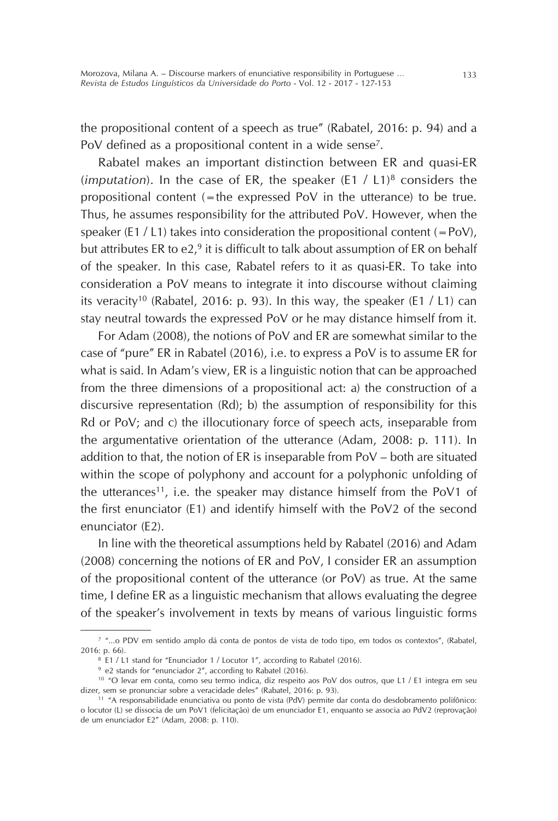the propositional content of a speech as true" (Rabatel, 2016: p. 94) and a PoV defined as a propositional content in a wide sense<sup>7</sup>.

Rabatel makes an important distinction between ER and quasi-ER (*imputation*). In the case of ER, the speaker (E1 / L1)8 considers the propositional content  $(=$  the expressed PoV in the utterance) to be true. Thus, he assumes responsibility for the attributed PoV. However, when the speaker (E1 / L1) takes into consideration the propositional content  $(=PoV)$ , but attributes ER to  $e2<sup>9</sup>$  it is difficult to talk about assumption of ER on behalf of the speaker. In this case, Rabatel refers to it as quasi-ER. To take into consideration a PoV means to integrate it into discourse without claiming its veracity<sup>10</sup> (Rabatel, 2016: p. 93). In this way, the speaker (E1 / L1) can stay neutral towards the expressed PoV or he may distance himself from it.

For Adam (2008), the notions of PoV and ER are somewhat similar to the case of "pure" ER in Rabatel (2016), i.e. to express a PoV is to assume ER for what is said. In Adam's view, ER is a linguistic notion that can be approached from the three dimensions of a propositional act: a) the construction of a discursive representation (Rd); b) the assumption of responsibility for this Rd or PoV; and c) the illocutionary force of speech acts, inseparable from the argumentative orientation of the utterance (Adam, 2008: p. 111). In addition to that, the notion of ER is inseparable from PoV – both are situated within the scope of polyphony and account for a polyphonic unfolding of the utterances<sup>11</sup>, i.e. the speaker may distance himself from the PoV1 of the first enunciator (E1) and identify himself with the PoV2 of the second enunciator (E2).

In line with the theoretical assumptions held by Rabatel (2016) and Adam (2008) concerning the notions of ER and PoV, I consider ER an assumption of the propositional content of the utterance (or PoV) as true. At the same time, I define ER as a linguistic mechanism that allows evaluating the degree of the speaker's involvement in texts by means of various linguistic forms

<sup>7</sup> "...o PDV em sentido amplo dá conta de pontos de vista de todo tipo, em todos os contextos", (Rabatel, 2016: p. 66).

<sup>&</sup>lt;sup>8</sup> E1 / L1 stand for "Enunciador 1 / Locutor 1", according to Rabatel (2016).

<sup>9</sup> e2 stands for "enunciador 2", according to Rabatel (2016).

<sup>10</sup> "O levar em conta, como seu termo indica, diz respeito aos PoV dos outros, que L1 / E1 integra em seu dizer, sem se pronunciar sobre a veracidade deles" (Rabatel, 2016: p. 93).

<sup>11</sup> "A responsabilidade enunciativa ou ponto de vista (PdV) permite dar conta do desdobramento polifônico: o locutor (L) se dissocia de um PoV1 (felicitação) de um enunciador E1, enquanto se associa ao PdV2 (reprovação) de um enunciador E2" (Adam, 2008: p. 110).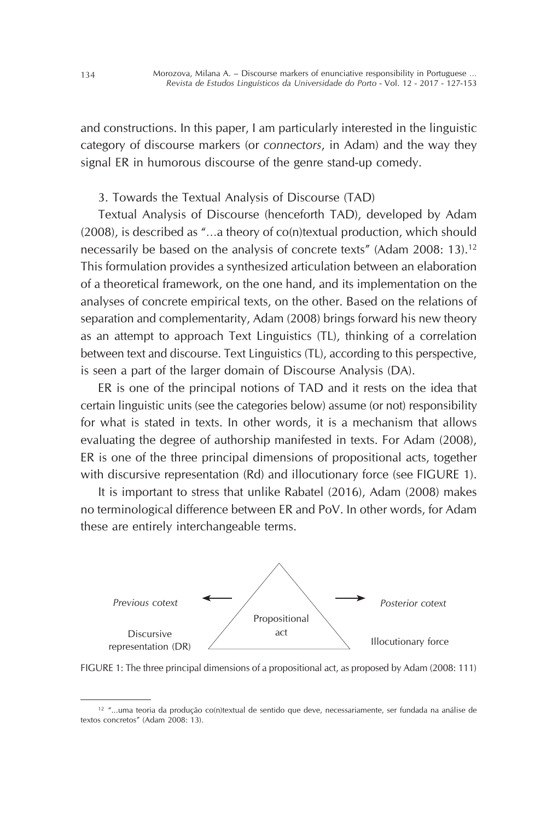and constructions. In this paper, I am particularly interested in the linguistic category of discourse markers (or *connectors*, in Adam) and the way they signal ER in humorous discourse of the genre stand-up comedy.

## 3. Towards the Textual Analysis of Discourse (TAD)

Textual Analysis of Discourse (henceforth TAD), developed by Adam (2008), is described as "…a theory of co(n)textual production, which should necessarily be based on the analysis of concrete texts" (Adam 2008: 13).12 This formulation provides a synthesized articulation between an elaboration of a theoretical framework, on the one hand, and its implementation on the analyses of concrete empirical texts, on the other. Based on the relations of separation and complementarity, Adam (2008) brings forward his new theory as an attempt to approach Text Linguistics (TL), thinking of a correlation between text and discourse. Text Linguistics (TL), according to this perspective, is seen a part of the larger domain of Discourse Analysis (DA).

ER is one of the principal notions of TAD and it rests on the idea that certain linguistic units (see the categories below) assume (or not) responsibility for what is stated in texts. In other words, it is a mechanism that allows evaluating the degree of authorship manifested in texts. For Adam (2008), ER is one of the three principal dimensions of propositional acts, together with discursive representation (Rd) and illocutionary force (see FIGURE 1).

It is important to stress that unlike Rabatel (2016), Adam (2008) makes no terminological difference between ER and PoV. In other words, for Adam these are entirely interchangeable terms.



FIGURE 1: The three principal dimensions of a propositional act, as proposed by Adam (2008: 111)

 $12$  "...uma teoria da produção co(n)textual de sentido que deve, necessariamente, ser fundada na análise de textos concretos" (Adam 2008: 13).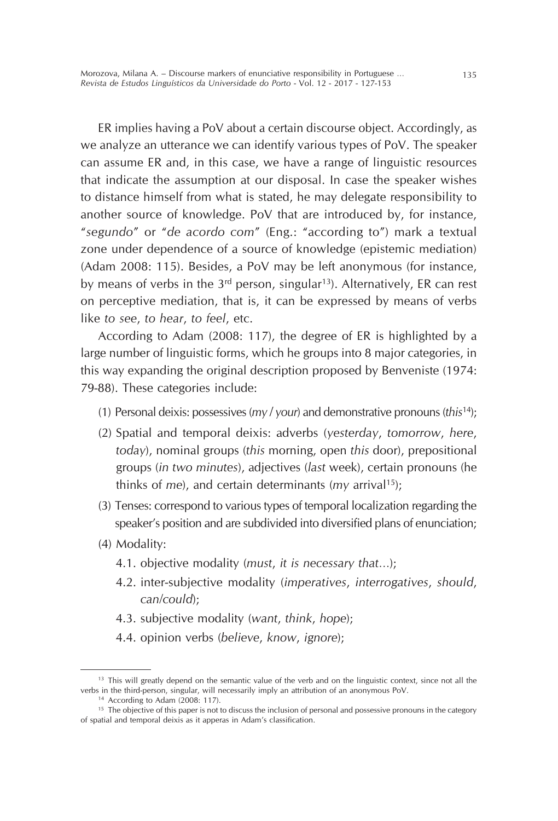ER implies having a PoV about a certain discourse object. Accordingly, as we analyze an utterance we can identify various types of PoV. The speaker can assume ER and, in this case, we have a range of linguistic resources that indicate the assumption at our disposal. In case the speaker wishes to distance himself from what is stated, he may delegate responsibility to another source of knowledge. PoV that are introduced by, for instance, "*segundo*" or "*de acordo com*" (Eng.: "according to") mark a textual zone under dependence of a source of knowledge (epistemic mediation) (Adam 2008: 115). Besides, a PoV may be left anonymous (for instance, by means of verbs in the  $3^{rd}$  person, singular<sup>13</sup>). Alternatively, ER can rest on perceptive mediation, that is, it can be expressed by means of verbs like *to see*, *to hear*, *to feel*, etc.

According to Adam (2008: 117), the degree of ER is highlighted by a large number of linguistic forms, which he groups into 8 major categories, in this way expanding the original description proposed by Benveniste (1974: 79-88). These categories include:

- (1) Personal deixis: possessives (*my* / *your*) and demonstrative pronouns (*this*14);
- (2) Spatial and temporal deixis: adverbs (*yesterday*, *tomorrow*, *here*, *today*), nominal groups (*this* morning, open *this* door), prepositional groups (*in two minutes*), adjectives (*last* week), certain pronouns (he thinks of *me*), and certain determinants (*my* arrival15);
- (3) Tenses: correspond to various types of temporal localization regarding the speaker's position and are subdivided into diversified plans of enunciation;
- (4) Modality:
	- 4.1. objective modality (*must*, *it is necessary that*…);
	- 4.2. inter-subjective modality (*imperatives*, *interrogatives*, *should*, *can/could*);
	- 4.3. subjective modality (*want*, *think*, *hope*);
	- 4.4. opinion verbs (*believe*, *know*, *ignore*);

<sup>&</sup>lt;sup>13</sup> This will greatly depend on the semantic value of the verb and on the linguistic context, since not all the verbs in the third-person, singular, will necessarily imply an attribution of an anonymous PoV.

<sup>14</sup> According to Adam (2008: 117).

<sup>&</sup>lt;sup>15</sup> The objective of this paper is not to discuss the inclusion of personal and possessive pronouns in the category of spatial and temporal deixis as it apperas in Adam's classification.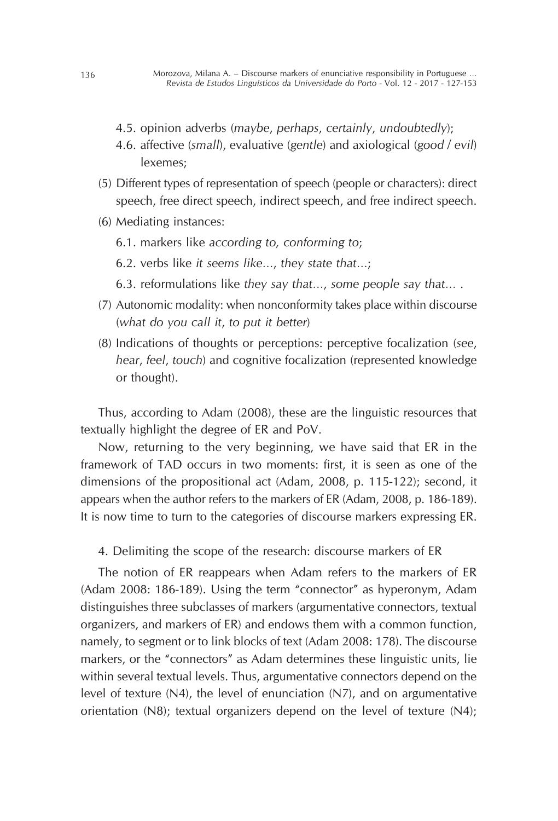- 4.5. opinion adverbs (*maybe*, *perhaps*, *certainly*, *undoubtedly*);
- 4.6. affective (*small*), evaluative (*gentle*) and axiological (*good* / *evil*) lexemes;
- (5) Different types of representation of speech (people or characters): direct speech, free direct speech, indirect speech, and free indirect speech.
- (6) Mediating instances:
	- 6.1. markers like *according to, conforming to*;
	- 6.2. verbs like *it seems like*…, *they state that*…;
	- 6.3. reformulations like *they say that*…, *some people say that*… .
- (7) Autonomic modality: when nonconformity takes place within discourse (*what do you call it*, *to put it better*)
- (8) Indications of thoughts or perceptions: perceptive focalization (*see*, *hear*, *feel*, *touch*) and cognitive focalization (represented knowledge or thought).

Thus, according to Adam (2008), these are the linguistic resources that textually highlight the degree of ER and PoV.

Now, returning to the very beginning, we have said that ER in the framework of TAD occurs in two moments: first, it is seen as one of the dimensions of the propositional act (Adam, 2008, p. 115-122); second, it appears when the author refers to the markers of ER (Adam, 2008, p. 186-189). It is now time to turn to the categories of discourse markers expressing ER.

4. Delimiting the scope of the research: discourse markers of ER

The notion of ER reappears when Adam refers to the markers of ER (Adam 2008: 186-189). Using the term "connector" as hyperonym, Adam distinguishes three subclasses of markers (argumentative connectors, textual organizers, and markers of ER) and endows them with a common function, namely, to segment or to link blocks of text (Adam 2008: 178). The discourse markers, or the "connectors" as Adam determines these linguistic units, lie within several textual levels. Thus, argumentative connectors depend on the level of texture (N4), the level of enunciation (N7), and on argumentative orientation (N8); textual organizers depend on the level of texture (N4);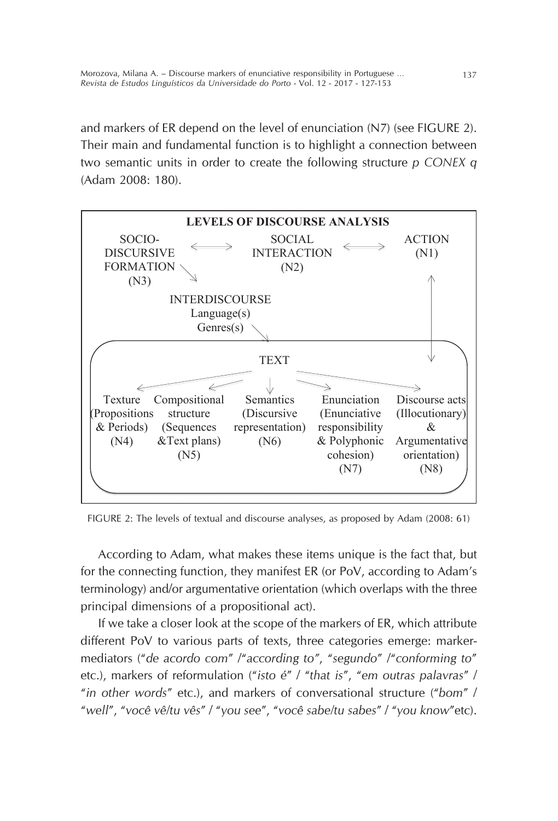and markers of ER depend on the level of enunciation (N7) (see FIGURE 2). Their main and fundamental function is to highlight a connection between two semantic units in order to create the following structure *p CONEX q* (Adam 2008: 180).  $\frac{1}{2}$  and  $\frac{2000}{100}$ . The levels of textual and discourse and  $\frac{1}{2}$ 



FIGURE 2: The levels of textual and discourse analyses, as proposed by Adam (2008: 61)

According to Adam, what makes these items unique is the fact that, but for the connecting function, they manifest ER (or PoV, according to Adam's terminology) and/or argumentative orientation (which overlaps with the three principal dimensions of a propositional act).

If we take a closer look at the scope of the markers of ER, which attribute different PoV to various parts of texts, three categories emerge: markermediators ("*de acordo com*" /"*according to"*, "*segundo*" /"*conforming to*" etc.), markers of reformulation ("*isto é*" / "*that is*", "*em outras palavras*" / "*in other words*" etc.), and markers of conversational structure ("*bom*" / "*well*", "*você vê/tu vês*" / "*you see*", "*você sabe/tu sabes*" / "*you know*"etc).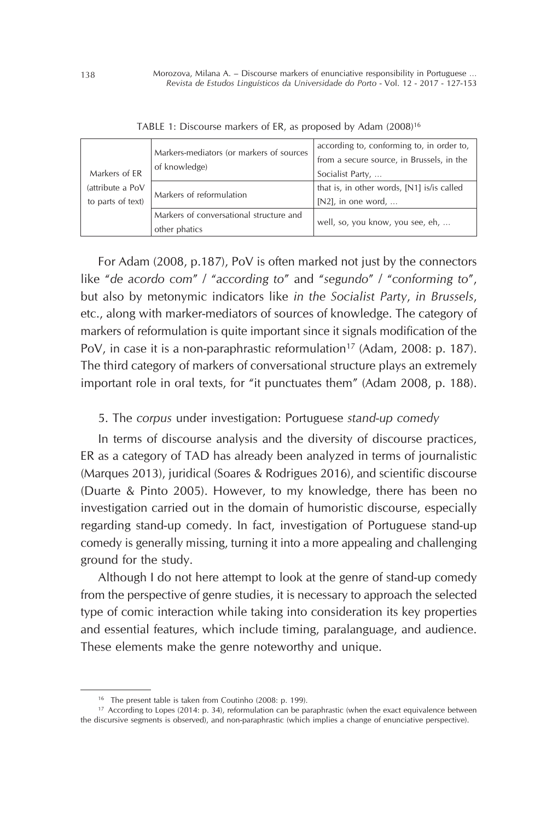|                                       | Markers-mediators (or markers of sources<br>of knowledge) | according to, conforming to, in order to,<br>from a secure source, in Brussels, in the |
|---------------------------------------|-----------------------------------------------------------|----------------------------------------------------------------------------------------|
| Markers of FR                         |                                                           | Socialist Party,                                                                       |
| (attribute a PoV<br>to parts of text) | Markers of reformulation                                  | that is, in other words, [N1] is/is called<br>$[N2]$ , in one word,                    |
|                                       | Markers of conversational structure and<br>other phatics  | well, so, you know, you see, eh,                                                       |

TABLE 1: Discourse markers of ER, as proposed by Adam (2008)16

For Adam (2008, p.187), PoV is often marked not just by the connectors like "*de acordo com*" / "*according to*" and "*segundo*" / "*conforming to*", but also by metonymic indicators like *in the Socialist Party*, *in Brussels*, etc., along with marker-mediators of sources of knowledge. The category of markers of reformulation is quite important since it signals modification of the PoV, in case it is a non-paraphrastic reformulation<sup>17</sup> (Adam, 2008: p. 187). The third category of markers of conversational structure plays an extremely important role in oral texts, for "it punctuates them" (Adam 2008, p. 188).

### 5. The *corpus* under investigation: Portuguese *stand-up comedy*

In terms of discourse analysis and the diversity of discourse practices, ER as a category of TAD has already been analyzed in terms of journalistic (Marques 2013), juridical (Soares & Rodrigues 2016), and scientific discourse (Duarte & Pinto 2005). However, to my knowledge, there has been no investigation carried out in the domain of humoristic discourse, especially regarding stand-up comedy. In fact, investigation of Portuguese stand-up comedy is generally missing, turning it into a more appealing and challenging ground for the study.

Although I do not here attempt to look at the genre of stand-up comedy from the perspective of genre studies, it is necessary to approach the selected type of comic interaction while taking into consideration its key properties and essential features, which include timing, paralanguage, and audience. These elements make the genre noteworthy and unique.

<sup>16</sup> The present table is taken from Coutinho (2008: p. 199).

<sup>&</sup>lt;sup>17</sup> According to Lopes (2014: p. 34), reformulation can be paraphrastic (when the exact equivalence between the discursive segments is observed), and non-paraphrastic (which implies a change of enunciative perspective).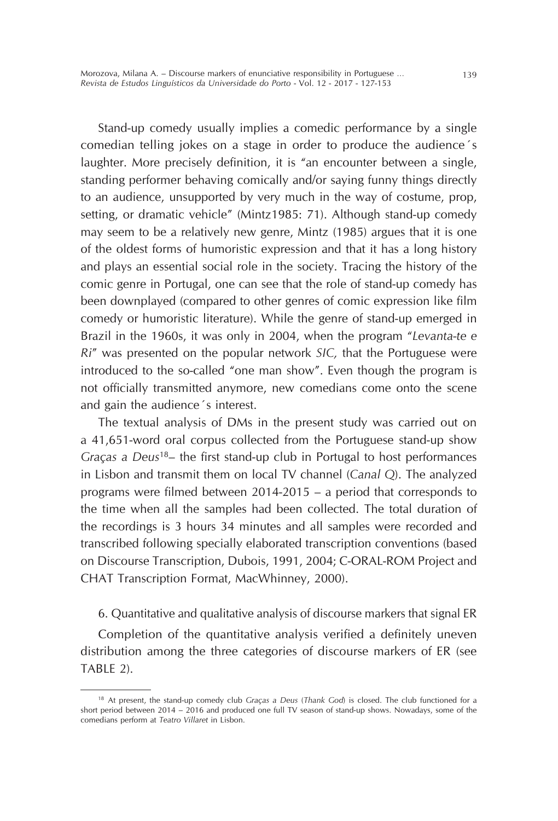Stand-up comedy usually implies a comedic performance by a single comedian telling jokes on a stage in order to produce the audience´s laughter. More precisely definition, it is "an encounter between a single, standing performer behaving comically and/or saying funny things directly to an audience, unsupported by very much in the way of costume, prop, setting, or dramatic vehicle" (Mintz1985: 71). Although stand-up comedy may seem to be a relatively new genre, Mintz (1985) argues that it is one of the oldest forms of humoristic expression and that it has a long history and plays an essential social role in the society. Tracing the history of the comic genre in Portugal, one can see that the role of stand-up comedy has been downplayed (compared to other genres of comic expression like film comedy or humoristic literature). While the genre of stand-up emerged in Brazil in the 1960s, it was only in 2004, when the program "*Levanta-te e Ri*" was presented on the popular network *SIC,* that the Portuguese were introduced to the so-called "one man show". Even though the program is not officially transmitted anymore, new comedians come onto the scene and gain the audience´s interest.

The textual analysis of DMs in the present study was carried out on a 41,651-word oral corpus collected from the Portuguese stand-up show *Graças a Deus*<sup>18</sup>– the first stand-up club in Portugal to host performances in Lisbon and transmit them on local TV channel (*Canal Q*). The analyzed programs were filmed between 2014-2015 – a period that corresponds to the time when all the samples had been collected. The total duration of the recordings is 3 hours 34 minutes and all samples were recorded and transcribed following specially elaborated transcription conventions (based on Discourse Transcription, Dubois, 1991, 2004; C-ORAL-ROM Project and CHAT Transcription Format, MacWhinney, 2000).

6. Quantitative and qualitative analysis of discourse markers that signal ER

Completion of the quantitative analysis verified a definitely uneven distribution among the three categories of discourse markers of ER (see TABLE 2).

<sup>18</sup> At present, the stand-up comedy club *Graças a Deus* (*Thank God*) is closed. The club functioned for a short period between 2014 – 2016 and produced one full TV season of stand-up shows. Nowadays, some of the comedians perform at *Teatro Villaret* in Lisbon.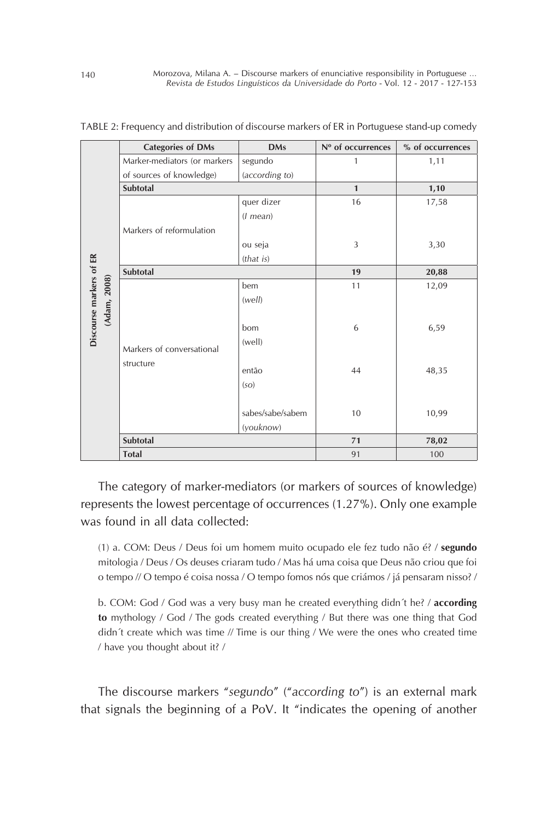|                                         | <b>Categories of DMs</b>     | <b>DMs</b>       | Nº of occurrences | % of occurrences |
|-----------------------------------------|------------------------------|------------------|-------------------|------------------|
|                                         | Marker-mediators (or markers | segundo          | 1                 | 1,11             |
|                                         | of sources of knowledge)     | (according to)   |                   |                  |
|                                         | Subtotal                     |                  | $\mathbf{1}$      | 1,10             |
|                                         |                              | quer dizer       | 16                | 17,58            |
|                                         |                              | $(1$ mean $)$    |                   |                  |
|                                         | Markers of reformulation     |                  |                   |                  |
|                                         |                              | ou seja          | 3                 | 3,30             |
|                                         |                              | (this)           |                   |                  |
|                                         | Subtotal                     |                  | 19                | 20,88            |
|                                         |                              | bem              | 11                | 12,09            |
| Discourse markers of ER<br>(Adam, 2008) |                              | (well)           |                   |                  |
|                                         |                              |                  |                   |                  |
|                                         |                              | bom              | 6                 | 6,59             |
|                                         |                              | (well)           |                   |                  |
|                                         | Markers of conversational    |                  |                   |                  |
|                                         | structure                    | então            | 44                | 48,35            |
|                                         |                              | (SO)             |                   |                  |
|                                         |                              |                  |                   |                  |
|                                         |                              | sabes/sabe/sabem | 10                | 10,99            |
|                                         |                              | (youknow)        |                   |                  |
|                                         | Subtotal                     |                  | 71                | 78,02            |
|                                         | <b>Total</b>                 |                  | 91                | 100              |

TABLE 2: Frequency and distribution of discourse markers of ER in Portuguese stand-up comedy

The category of marker-mediators (or markers of sources of knowledge) represents the lowest percentage of occurrences (1.27%). Only one example was found in all data collected:

(1) a. COM: Deus / Deus foi um homem muito ocupado ele fez tudo não é? / **segundo** mitologia / Deus / Os deuses criaram tudo / Mas há uma coisa que Deus não criou que foi o tempo // O tempo é coisa nossa / O tempo fomos nós que criámos / já pensaram nisso? /

b. COM: God / God was a very busy man he created everything didn´t he? / **according to** mythology / God / The gods created everything / But there was one thing that God didn´t create which was time  $\#$  Time is our thing  $\#$  We were the ones who created time / have you thought about it? /

The discourse markers "*segundo*" ("*according to*") is an external mark that signals the beginning of a PoV. It "indicates the opening of another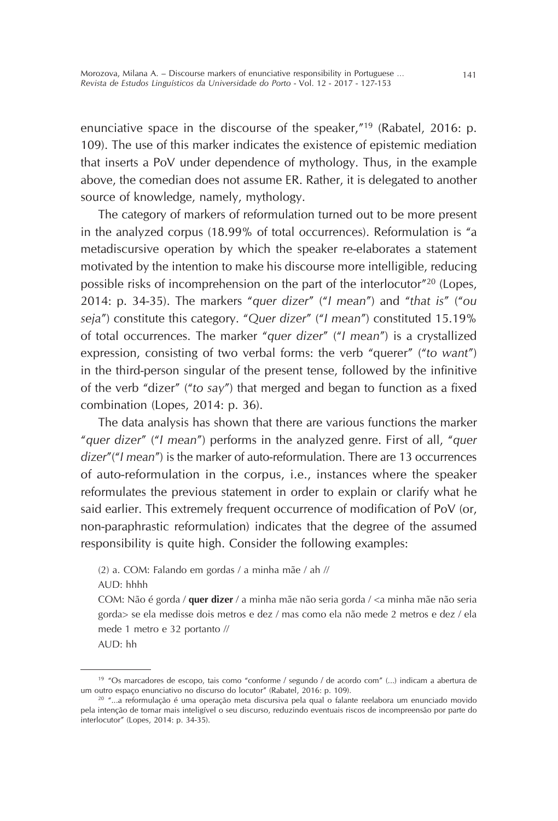enunciative space in the discourse of the speaker,"19 (Rabatel, 2016: p. 109). The use of this marker indicates the existence of epistemic mediation that inserts a PoV under dependence of mythology. Thus, in the example above, the comedian does not assume ER. Rather, it is delegated to another source of knowledge, namely, mythology.

The category of markers of reformulation turned out to be more present in the analyzed corpus (18.99% of total occurrences). Reformulation is "a metadiscursive operation by which the speaker re-elaborates a statement motivated by the intention to make his discourse more intelligible, reducing possible risks of incomprehension on the part of the interlocutor"20 (Lopes, 2014: p. 34-35). The markers "*quer dizer*" ("*I mean*") and "*that is*" ("*ou seja*") constitute this category. "*Quer dizer*" ("*I mean*") constituted 15.19% of total occurrences. The marker "*quer dizer*" ("*I mean*") is a crystallized expression, consisting of two verbal forms: the verb "querer" ("*to want*") in the third-person singular of the present tense, followed by the infinitive of the verb "dizer" ("*to say*") that merged and began to function as a fixed combination (Lopes, 2014: p. 36).

The data analysis has shown that there are various functions the marker "*quer dizer*" ("*I mean*") performs in the analyzed genre. First of all, "*quer dizer*"("*I mean*") is the marker of auto-reformulation. There are 13 occurrences of auto-reformulation in the corpus, i.e., instances where the speaker reformulates the previous statement in order to explain or clarify what he said earlier. This extremely frequent occurrence of modification of PoV (or, non-paraphrastic reformulation) indicates that the degree of the assumed responsibility is quite high. Consider the following examples:

(2) a. COM: Falando em gordas / a minha mãe / ah //

AUD: hhhh

COM: Não é gorda / **quer dizer** / a minha mãe não seria gorda / <a minha mãe não seria gorda> se ela medisse dois metros e dez / mas como ela não mede 2 metros e dez / ela mede 1 metro e 32 portanto //

AUD: hh

<sup>19</sup> "Os marcadores de escopo, tais como "conforme / segundo / de acordo com" (...) indicam a abertura de um outro espaço enunciativo no discurso do locutor" (Rabatel, 2016: p. 109).

<sup>20</sup> "...a reformulação é uma operação meta discursiva pela qual o falante reelabora um enunciado movido pela intenção de tornar mais inteligível o seu discurso, reduzindo eventuais riscos de incompreensão por parte do interlocutor" (Lopes, 2014: p. 34-35).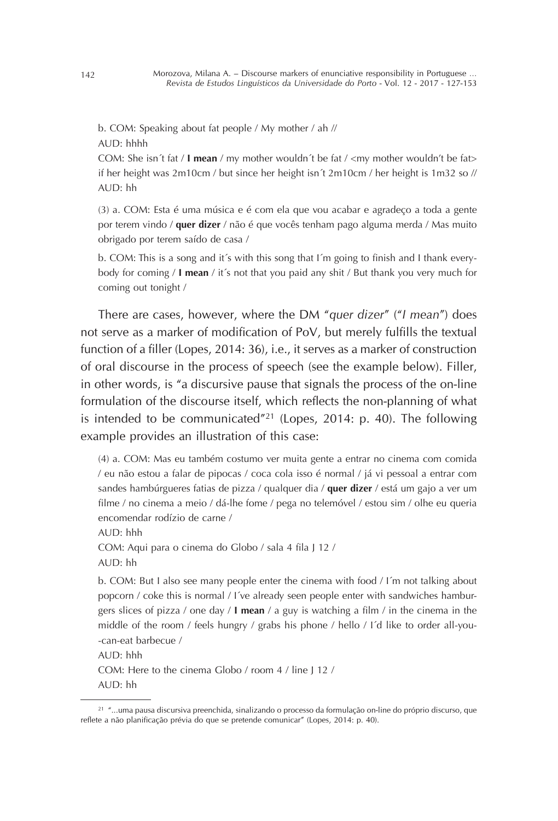b. COM: Speaking about fat people / My mother / ah // AUD: hhhh

COM: She isn't fat / **I mean** / my mother wouldn't be fat / <my mother wouldn't be fat> if her height was 2m10cm / but since her height isn´t 2m10cm / her height is 1m32 so // AUD: hh

(3) a. COM: Esta é uma música e é com ela que vou acabar e agradeço a toda a gente por terem vindo / **quer dizer** / não é que vocês tenham pago alguma merda / Mas muito obrigado por terem saído de casa /

b. COM: This is a song and it´s with this song that I´m going to finish and I thank everybody for coming / **I mean** / it´s not that you paid any shit / But thank you very much for coming out tonight /

There are cases, however, where the DM "*quer dizer*" ("*I mean*") does not serve as a marker of modification of PoV, but merely fulfills the textual function of a filler (Lopes, 2014: 36), i.e., it serves as a marker of construction of oral discourse in the process of speech (see the example below). Filler, in other words, is "a discursive pause that signals the process of the on-line formulation of the discourse itself, which reflects the non-planning of what is intended to be communicated"21 (Lopes, 2014: p. 40). The following example provides an illustration of this case:

(4) a. COM: Mas eu também costumo ver muita gente a entrar no cinema com comida / eu não estou a falar de pipocas / coca cola isso é normal / já vi pessoal a entrar com sandes hambúrgueres fatias de pizza / qualquer dia / **quer dizer** / está um gajo a ver um filme / no cinema a meio / dá-lhe fome / pega no telemóvel / estou sim / olhe eu queria encomendar rodízio de carne / AUD: hhh

COM: Aqui para o cinema do Globo / sala 4 fila J 12 /

AUD: hh

b. COM: But I also see many people enter the cinema with food / I´m not talking about popcorn / coke this is normal / I´ve already seen people enter with sandwiches hamburgers slices of pizza / one day / **I mean** / a guy is watching a film / in the cinema in the middle of the room / feels hungry / grabs his phone / hello / I´d like to order all-you- -can-eat barbecue /

 $AUD: hhh$ 

COM: Here to the cinema Globo / room 4 / line J 12 /

AUD: hh

<sup>21</sup> "...uma pausa discursiva preenchida, sinalizando o processo da formulação on-line do próprio discurso, que reflete a não planificação prévia do que se pretende comunicar" (Lopes, 2014: p. 40).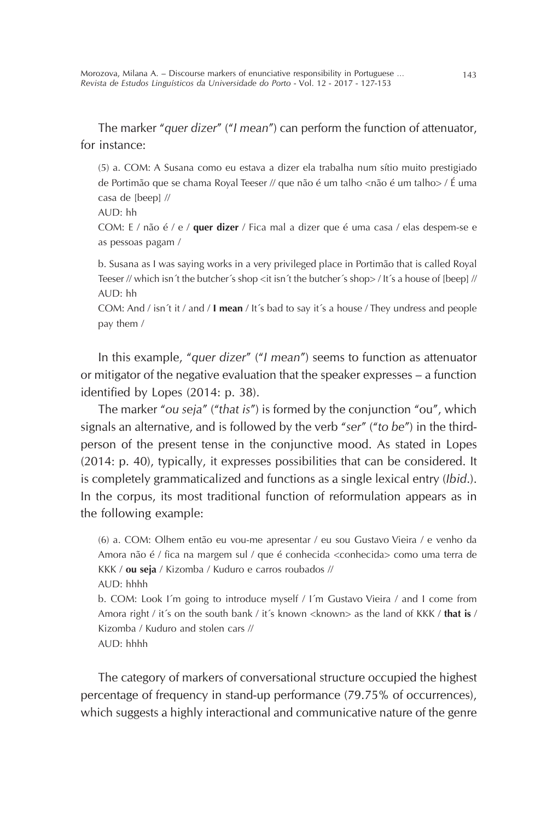The marker "*quer dizer*" ("*I mean*") can perform the function of attenuator, for instance:

(5) a. COM: A Susana como eu estava a dizer ela trabalha num sítio muito prestigiado de Portimão que se chama Royal Teeser // que não é um talho <não é um talho > / É uma casa de [beep] //

AUD: hh

COM: E / não é / e / **quer dizer** / Fica mal a dizer que é uma casa / elas despem-se e as pessoas pagam /

b. Susana as I was saying works in a very privileged place in Portimão that is called Royal Teeser // which isn´t the butcher´s shop <it isn´t the butcher´s shop> / It´s a house of [beep] //  $AUD<sup>+</sup> hh$ 

COM: And / isn´t it / and / **I mean** / It´s bad to say it´s a house / They undress and people pay them /

In this example, "*quer dizer*" ("*I mean*") seems to function as attenuator or mitigator of the negative evaluation that the speaker expresses – a function identified by Lopes (2014: p. 38).

The marker "*ou seja*" ("*that is*") is formed by the conjunction "ou", which signals an alternative, and is followed by the verb "*ser*" ("*to be*") in the thirdperson of the present tense in the conjunctive mood. As stated in Lopes (2014: p. 40), typically, it expresses possibilities that can be considered. It is completely grammaticalized and functions as a single lexical entry (*Ibid*.). In the corpus, its most traditional function of reformulation appears as in the following example:

(6) a. COM: Olhem então eu vou-me apresentar / eu sou Gustavo Vieira / e venho da Amora não é / fica na margem sul / que é conhecida <conhecida> como uma terra de KKK / **ou seja** / Kizomba / Kuduro e carros roubados // AUD: hhhh

b. COM: Look I´m going to introduce myself / I´m Gustavo Vieira / and I come from Amora right / it´s on the south bank / it´s known <known> as the land of KKK / **that is** / Kizomba / Kuduro and stolen cars //  $AUD \cdot hhhh$ 

The category of markers of conversational structure occupied the highest percentage of frequency in stand-up performance (79.75% of occurrences), which suggests a highly interactional and communicative nature of the genre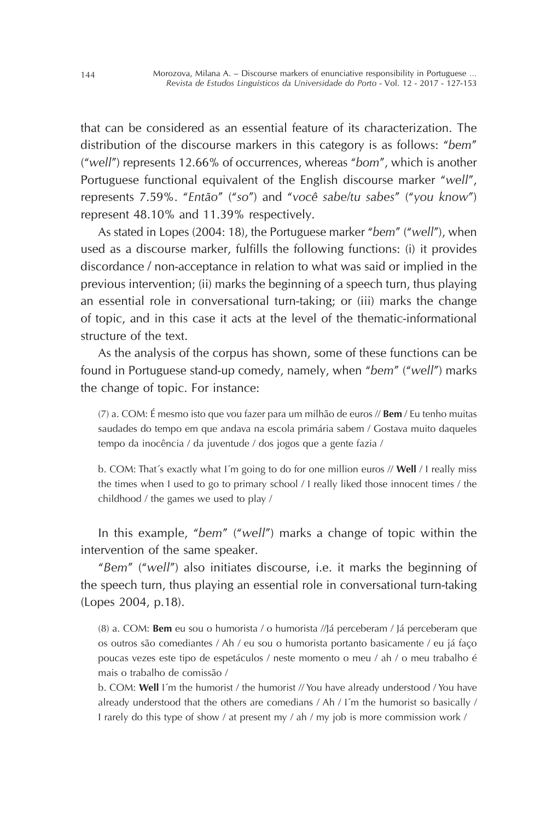that can be considered as an essential feature of its characterization. The distribution of the discourse markers in this category is as follows: "*bem*" ("*well*") represents 12.66% of occurrences, whereas "*bom*", which is another Portuguese functional equivalent of the English discourse marker "*well*", represents 7.59%. "*Então*" ("*so*") and "*você sabe/tu sabes*" ("*you know*") represent 48.10% and 11.39% respectively.

As stated in Lopes (2004: 18), the Portuguese marker "*bem*" ("*well*"), when used as a discourse marker, fulfills the following functions: (i) it provides discordance / non-acceptance in relation to what was said or implied in the previous intervention; (ii) marks the beginning of a speech turn, thus playing an essential role in conversational turn-taking; or (iii) marks the change of topic, and in this case it acts at the level of the thematic-informational structure of the text.

As the analysis of the corpus has shown, some of these functions can be found in Portuguese stand-up comedy, namely, when "*bem*" ("*well*") marks the change of topic. For instance:

(7) a. COM: É mesmo isto que vou fazer para um milhão de euros // **Bem** / Eu tenho muitas saudades do tempo em que andava na escola primária sabem / Gostava muito daqueles tempo da inocência / da juventude / dos jogos que a gente fazia /

b. COM: That´s exactly what I´m going to do for one million euros // **Well** / I really miss the times when I used to go to primary school / I really liked those innocent times / the childhood / the games we used to play /

In this example, "*bem*" ("*well*") marks a change of topic within the intervention of the same speaker.

"*Bem*" ("*well*") also initiates discourse, i.e. it marks the beginning of the speech turn, thus playing an essential role in conversational turn-taking (Lopes 2004, p.18).

(8) a. COM: **Bem** eu sou o humorista / o humorista //Já perceberam / Já perceberam que os outros são comediantes / Ah / eu sou o humorista portanto basicamente / eu já faço poucas vezes este tipo de espetáculos / neste momento o meu / ah / o meu trabalho é mais o trabalho de comissão /

b. COM: **Well** I´m the humorist / the humorist // You have already understood / You have already understood that the others are comedians / Ah / I´m the humorist so basically / I rarely do this type of show / at present my / ah / my job is more commission work /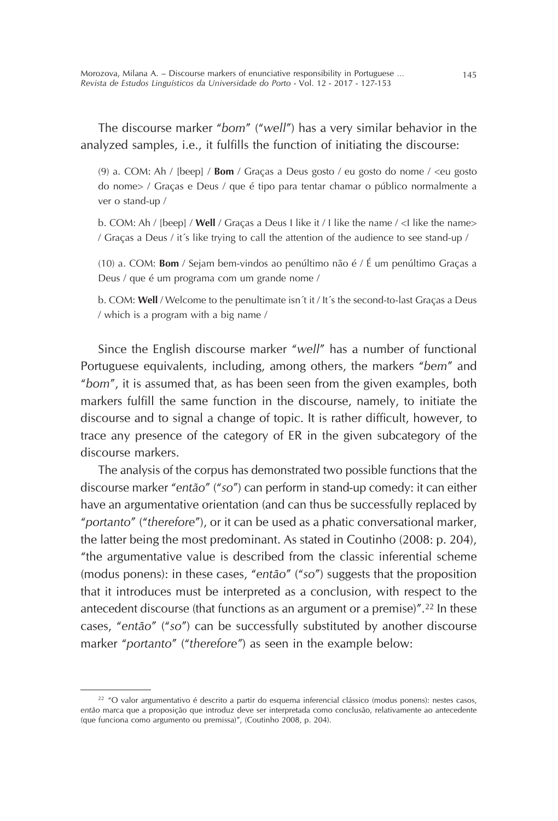The discourse marker "*bom*" ("*well*") has a very similar behavior in the analyzed samples, i.e., it fulfills the function of initiating the discourse:

(9) a. COM: Ah / [beep] / **Bom** / Graças a Deus gosto / eu gosto do nome / <eu gosto do nome> / Graças e Deus / que é tipo para tentar chamar o público normalmente a ver o stand-up /

b. COM: Ah / [beep] / **Well** / Graças a Deus I like it / I like the name / <I like the name> / Graças a Deus / it´s like trying to call the attention of the audience to see stand-up /

(10) a. COM: **Bom** / Sejam bem-vindos ao penúltimo não é / É um penúltimo Graças a Deus / que é um programa com um grande nome /

b. COM: **Well** / Welcome to the penultimate isn´t it / It´s the second-to-last Graças a Deus / which is a program with a big name /

Since the English discourse marker "*well*" has a number of functional Portuguese equivalents, including, among others, the markers "*bem*" and "*bom*", it is assumed that, as has been seen from the given examples, both markers fulfill the same function in the discourse, namely, to initiate the discourse and to signal a change of topic. It is rather difficult, however, to trace any presence of the category of ER in the given subcategory of the discourse markers.

The analysis of the corpus has demonstrated two possible functions that the discourse marker "*então*" ("*so*") can perform in stand-up comedy: it can either have an argumentative orientation (and can thus be successfully replaced by "*portanto*" ("*therefore*"), or it can be used as a phatic conversational marker, the latter being the most predominant. As stated in Coutinho (2008: p. 204), "the argumentative value is described from the classic inferential scheme (modus ponens): in these cases, "*então*" ("*so*") suggests that the proposition that it introduces must be interpreted as a conclusion, with respect to the antecedent discourse (that functions as an argument or a premise)".22 In these cases, "*então*" ("*so*") can be successfully substituted by another discourse marker "*portanto*" ("*therefore"*) as seen in the example below:

<sup>&</sup>lt;sup>22</sup> "O valor argumentativo é descrito a partir do esquema inferencial clássico (modus ponens): nestes casos, *então* marca que a proposição que introduz deve ser interpretada como conclusão, relativamente ao antecedente (que funciona como argumento ou premissa)", (Coutinho 2008, p. 204).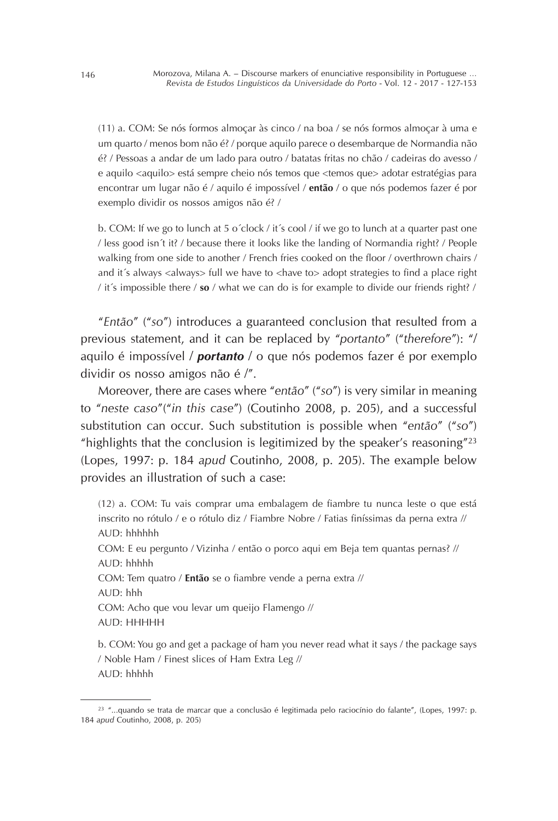(11) a. COM: Se nós formos almoçar às cinco / na boa / se nós formos almoçar à uma e um quarto / menos bom não é? / porque aquilo parece o desembarque de Normandia não é? / Pessoas a andar de um lado para outro / batatas fritas no chão / cadeiras do avesso / e aquilo <aquilo> está sempre cheio nós temos que <temos que> adotar estratégias para encontrar um lugar não é / aquilo é impossível / **então** / o que nós podemos fazer é por exemplo dividir os nossos amigos não é? /

b. COM: If we go to lunch at 5 o'clock / it's cool / if we go to lunch at a quarter past one / less good isn´t it? / because there it looks like the landing of Normandia right? / People walking from one side to another / French fries cooked on the floor / overthrown chairs / and it's always <always> full we have to <have to> adopt strategies to find a place right / it´s impossible there / **so** / what we can do is for example to divide our friends right? /

"*Então*" ("*so*") introduces a guaranteed conclusion that resulted from a previous statement, and it can be replaced by "*portanto*" ("*therefore*"): "/ aquilo é impossível / *portanto* / o que nós podemos fazer é por exemplo dividir os nosso amigos não é /".

Moreover, there are cases where "*então*" ("*so*") is very similar in meaning to "*neste caso*"("*in this case*") (Coutinho 2008, p. 205), and a successful substitution can occur. Such substitution is possible when "*então*" ("*so*") "highlights that the conclusion is legitimized by the speaker's reasoning"<sup>23</sup> (Lopes, 1997: p. 184 *apud* Coutinho, 2008, p. 205). The example below provides an illustration of such a case:

(12) a. COM: Tu vais comprar uma embalagem de fiambre tu nunca leste o que está inscrito no rótulo / e o rótulo diz / Fiambre Nobre / Fatias finíssimas da perna extra // AUD: hhhhhh COM: E eu pergunto / Vizinha / então o porco aqui em Beja tem quantas pernas? // AUD: hhhhh COM: Tem quatro / **Então** se o fiambre vende a perna extra // AUD: hhh COM: Acho que vou levar um queijo Flamengo // AUD: HHHHH

b. COM: You go and get a package of ham you never read what it says / the package says / Noble Ham / Finest slices of Ham Extra Leg // AUD: hhhhh

<sup>&</sup>lt;sup>23</sup> "...quando se trata de marcar que a conclusão é legitimada pelo raciocínio do falante", (Lopes, 1997: p. 184 *apud* Coutinho, 2008, p. 205)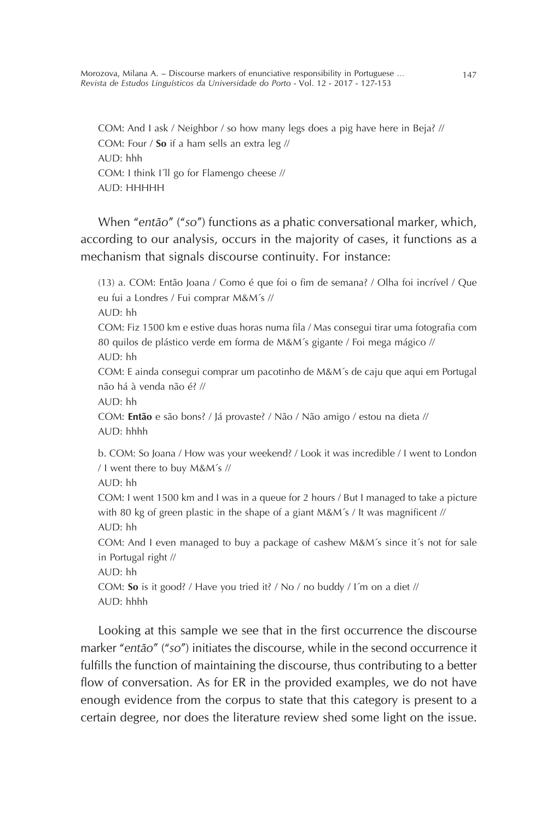Morozova, Milana A. – Discourse markers of enunciative responsibility in Portuguese … 147 *Revista de Estudos Linguísticos da Universidade do Porto* - Vol. 12 - 2017 - 127-153

COM: And I ask / Neighbor / so how many legs does a pig have here in Beja? // COM: Four / **So** if a ham sells an extra leg // AUD: hhh COM: I think I´ll go for Flamengo cheese // AUD: HHHHH

When "*então*" ("*so*") functions as a phatic conversational marker, which, according to our analysis, occurs in the majority of cases, it functions as a mechanism that signals discourse continuity. For instance:

(13) a. COM: Então Joana / Como é que foi o fim de semana? / Olha foi incrível / Que eu fui a Londres / Fui comprar M&M´s //  $AUD<sup>+</sup> hh$ COM: Fiz 1500 km e estive duas horas numa fila / Mas consegui tirar uma fotografia com 80 quilos de plástico verde em forma de M&M´s gigante / Foi mega mágico // AUD: hh COM: E ainda consegui comprar um pacotinho de M&M´s de caju que aqui em Portugal não há à venda não é? //  $AUD<sup>+</sup>hh$ COM: **Então** e são bons? / Já provaste? / Não / Não amigo / estou na dieta // AUD: hhhh b. COM: So Joana / How was your weekend? / Look it was incredible / I went to London / I went there to buy M&M´s // AUD: hh COM: I went 1500 km and I was in a queue for 2 hours / But I managed to take a picture with 80 kg of green plastic in the shape of a giant M&M´s / It was magnificent // AUD: hh COM: And I even managed to buy a package of cashew M&M´s since it´s not for sale in Portugal right // AUD: hh COM: **So** is it good? / Have you tried it? / No / no buddy / I´m on a diet // AUD: hhhh

Looking at this sample we see that in the first occurrence the discourse marker "*então*" ("*so*") initiates the discourse, while in the second occurrence it fulfills the function of maintaining the discourse, thus contributing to a better flow of conversation. As for ER in the provided examples, we do not have enough evidence from the corpus to state that this category is present to a certain degree, nor does the literature review shed some light on the issue.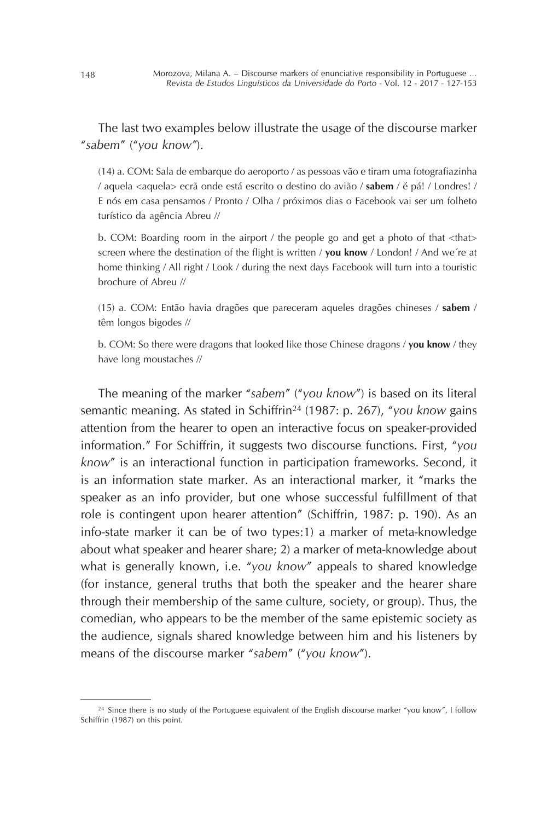The last two examples below illustrate the usage of the discourse marker "*sabem*" ("*you know"*).

(14) a. COM: Sala de embarque do aeroporto / as pessoas vão e tiram uma fotografiazinha / aquela <aquela> ecrã onde está escrito o destino do avião / **sabem** / é pá! / Londres! / E nós em casa pensamos / Pronto / Olha / próximos dias o Facebook vai ser um folheto turístico da agência Abreu //

b. COM: Boarding room in the airport / the people go and get a photo of that  $\lt$ that $>$ screen where the destination of the flight is written / **you know** / London! / And we´re at home thinking / All right / Look / during the next days Facebook will turn into a touristic brochure of Abreu //

(15) a. COM: Então havia dragões que pareceram aqueles dragões chineses / **sabem** / têm longos bigodes //

b. COM: So there were dragons that looked like those Chinese dragons / **you know** / they have long moustaches //

The meaning of the marker "*sabem*" ("*you know*") is based on its literal semantic meaning. As stated in Schiffrin24 (1987: p. 267), "*you know* gains attention from the hearer to open an interactive focus on speaker-provided information." For Schiffrin, it suggests two discourse functions. First, "*you know*" is an interactional function in participation frameworks. Second, it is an information state marker. As an interactional marker, it "marks the speaker as an info provider, but one whose successful fulfillment of that role is contingent upon hearer attention" (Schiffrin, 1987: p. 190). As an info-state marker it can be of two types:1) a marker of meta-knowledge about what speaker and hearer share; 2) a marker of meta-knowledge about what is generally known, i.e. "*you know*" appeals to shared knowledge (for instance, general truths that both the speaker and the hearer share through their membership of the same culture, society, or group). Thus, the comedian, who appears to be the member of the same epistemic society as the audience, signals shared knowledge between him and his listeners by means of the discourse marker "*sabem*" ("*you know*").

<sup>&</sup>lt;sup>24</sup> Since there is no study of the Portuguese equivalent of the English discourse marker "you know", I follow Schiffrin (1987) on this point.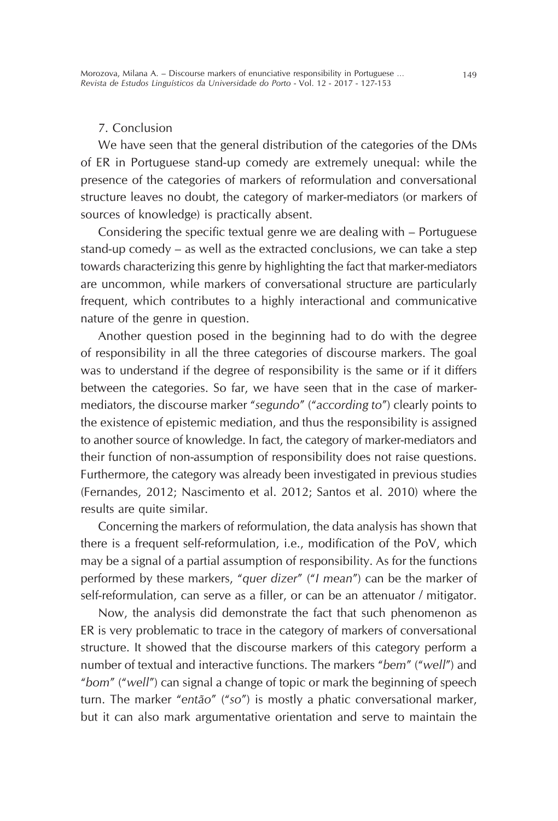# 7. Conclusion

We have seen that the general distribution of the categories of the DMs of ER in Portuguese stand-up comedy are extremely unequal: while the presence of the categories of markers of reformulation and conversational structure leaves no doubt, the category of marker-mediators (or markers of sources of knowledge) is practically absent.

Considering the specific textual genre we are dealing with – Portuguese stand-up comedy – as well as the extracted conclusions, we can take a step towards characterizing this genre by highlighting the fact that marker-mediators are uncommon, while markers of conversational structure are particularly frequent, which contributes to a highly interactional and communicative nature of the genre in question.

Another question posed in the beginning had to do with the degree of responsibility in all the three categories of discourse markers. The goal was to understand if the degree of responsibility is the same or if it differs between the categories. So far, we have seen that in the case of markermediators, the discourse marker "*segundo*" ("*according to*") clearly points to the existence of epistemic mediation, and thus the responsibility is assigned to another source of knowledge. In fact, the category of marker-mediators and their function of non-assumption of responsibility does not raise questions. Furthermore, the category was already been investigated in previous studies (Fernandes, 2012; Nascimento et al. 2012; Santos et al. 2010) where the results are quite similar.

Concerning the markers of reformulation, the data analysis has shown that there is a frequent self-reformulation, i.e., modification of the PoV, which may be a signal of a partial assumption of responsibility. As for the functions performed by these markers, "*quer dizer*" ("*I mean*") can be the marker of self-reformulation, can serve as a filler, or can be an attenuator / mitigator.

Now, the analysis did demonstrate the fact that such phenomenon as ER is very problematic to trace in the category of markers of conversational structure. It showed that the discourse markers of this category perform a number of textual and interactive functions. The markers "*bem*" ("*well*") and "*bom*" ("*well*") can signal a change of topic or mark the beginning of speech turn. The marker "*então*" ("*so*") is mostly a phatic conversational marker, but it can also mark argumentative orientation and serve to maintain the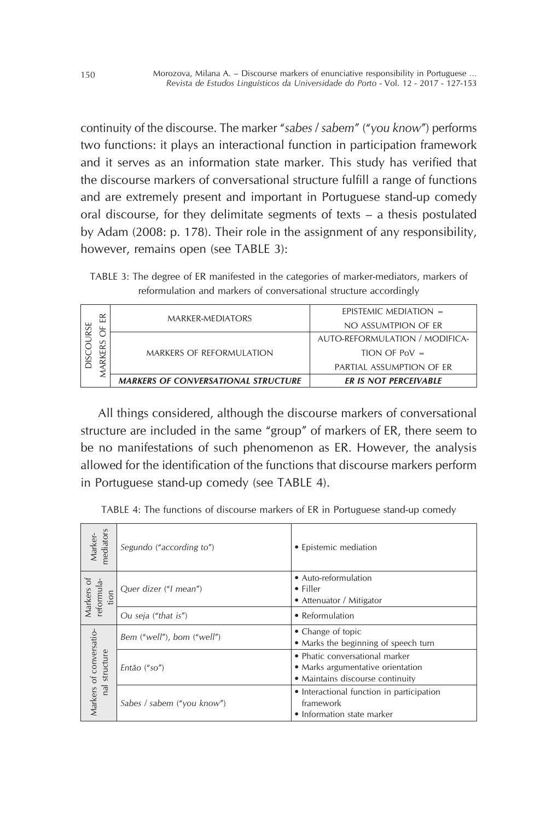continuity of the discourse. The marker "*sabes* / *sabem*" ("*you know*") performs two functions: it plays an interactional function in participation framework and it serves as an information state marker. This study has verified that the discourse markers of conversational structure fulfill a range of functions and are extremely present and important in Portuguese stand-up comedy oral discourse, for they delimitate segments of texts – a thesis postulated by Adam (2008: p. 178). Their role in the assignment of any responsibility, however, remains open (see TABLE 3):

TABLE 3: The degree of ER manifested in the categories of marker-mediators, markers of reformulation and markers of conversational structure accordingly

|               | $\simeq$                                   |                              | EPISTEMIC MEDIATION $=$        |
|---------------|--------------------------------------------|------------------------------|--------------------------------|
| ╙<br>RS<br>kF | MARKER-MEDIATORS                           | NO ASSUMTPION OF ER          |                                |
|               |                                            |                              | AUTO-REFORMULATION / MODIFICA- |
|               | MARKERS OF REFORMULATION                   | $TION$ OF PoV $=$            |                                |
|               |                                            | PARTIAL ASSUMPTION OF ER     |                                |
|               | <b>MARKERS OF CONVERSATIONAL STRUCTURE</b> | <b>ER IS NOT PERCEIVABLE</b> |                                |

All things considered, although the discourse markers of conversational structure are included in the same "group" of markers of ER, there seem to be no manifestations of such phenomenon as ER. However, the analysis allowed for the identification of the functions that discourse markers perform in Portuguese stand-up comedy (see TABLE 4).

TABLE 4: The functions of discourse markers of ER in Portuguese stand-up comedy

| mediators<br>Marker-                                   | Segundo ("according to")   | • Epistemic mediation                                                                                   |
|--------------------------------------------------------|----------------------------|---------------------------------------------------------------------------------------------------------|
| Markers of<br>reformula-<br>tion                       | Quer dizer ("I mean")      | • Auto-reformulation<br>$\bullet$ Filler<br>• Attenuator / Mitigator                                    |
|                                                        | Ou seja ("that is")        | • Reformulation                                                                                         |
| Markers of conversatio-<br>structure<br>$\overline{a}$ | Bem ("well"), bom ("well") | • Change of topic<br>• Marks the beginning of speech turn                                               |
|                                                        | Então ("so")               | • Phatic conversational marker<br>• Marks argumentative orientation<br>• Maintains discourse continuity |
|                                                        | Sabes / sabem ("you know") | • Interactional function in participation<br>framework<br>• Information state marker                    |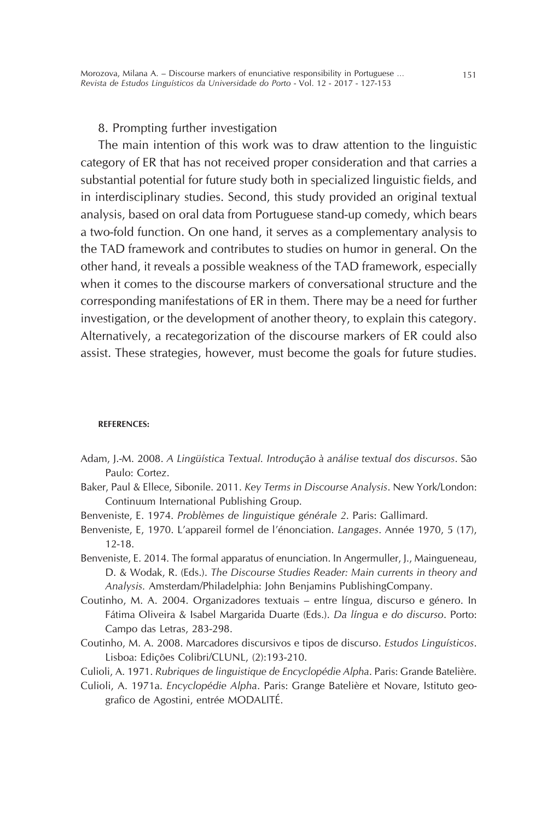#### 8. Prompting further investigation

The main intention of this work was to draw attention to the linguistic category of ER that has not received proper consideration and that carries a substantial potential for future study both in specialized linguistic fields, and in interdisciplinary studies. Second, this study provided an original textual analysis, based on oral data from Portuguese stand-up comedy, which bears a two-fold function. On one hand, it serves as a complementary analysis to the TAD framework and contributes to studies on humor in general. On the other hand, it reveals a possible weakness of the TAD framework, especially when it comes to the discourse markers of conversational structure and the corresponding manifestations of ER in them. There may be a need for further investigation, or the development of another theory, to explain this category. Alternatively, a recategorization of the discourse markers of ER could also assist. These strategies, however, must become the goals for future studies.

#### **REFERENCES:**

- Adam, J.-M. 2008. *A Lingüística Textual. Introdução à análise textual dos discursos*. São Paulo: Cortez.
- Baker, Paul & Ellece, Sibonile. 2011. *Key Terms in Discourse Analysis*. New York/London: Continuum International Publishing Group.
- Benveniste, E. 1974. *Problèmes de linguistique générale 2*. Paris: Gallimard.
- Benveniste, E, 1970. L'appareil formel de l'énonciation. *Langages*. Année 1970, 5 (17), 12-18.
- Benveniste, E. 2014. The formal apparatus of enunciation. In Angermuller, J., Maingueneau, D. & Wodak, R. (Eds.). *The Discourse Studies Reader: Main currents in theory and Analysis.* Amsterdam/Philadelphia: John Benjamins PublishingCompany.
- Coutinho, M. A. 2004. Organizadores textuais entre língua, discurso e género. In Fátima Oliveira & Isabel Margarida Duarte (Eds.). *Da língua e do discurso*. Porto: Campo das Letras, 283-298.
- Coutinho, M. A. 2008. Marcadores discursivos e tipos de discurso. *Estudos Linguísticos*. Lisboa: Edições Colibri/CLUNL, (2):193-210.
- Culioli, A. 1971. *Rubriques de linguistique de Encyclopédie Alpha*. Paris: Grande Batelière.
- Culioli, A. 1971a. *Encyclopédie Alpha*. Paris: Grange Batelière et Novare, Istituto geografico de Agostini, entrée MODALITÉ.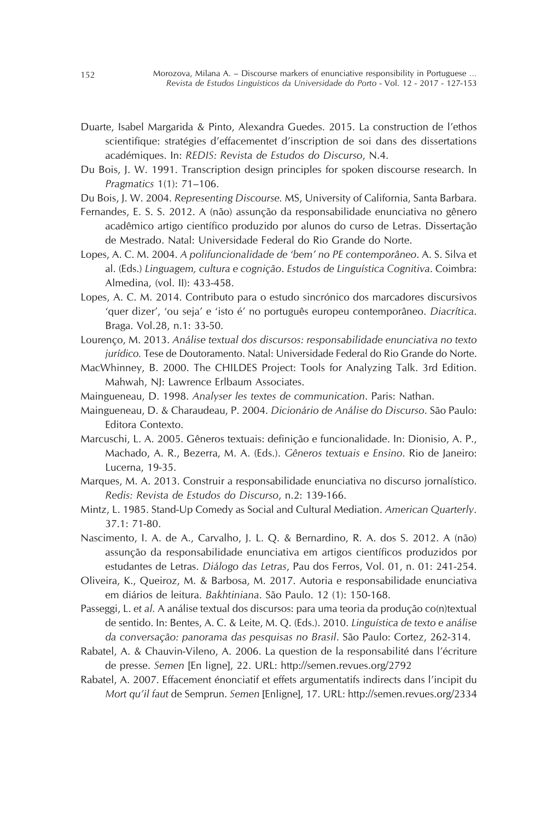- Duarte, Isabel Margarida & Pinto, Alexandra Guedes. 2015. La construction de l'ethos scientifique: stratégies d'effacementet d'inscription de soi dans des dissertations académiques. In: *REDIS: Revista de Estudos do Discurso*, N.4.
- Du Bois, J. W. 1991. Transcription design principles for spoken discourse research. In *Pragmatics* 1(1): 71–106.
- Du Bois, J. W. 2004. *Representing Discourse.* MS, University of California, Santa Barbara.
- Fernandes, E. S. S. 2012. A (não) assunção da responsabilidade enunciativa no gênero acadêmico artigo científico produzido por alunos do curso de Letras. Dissertação de Mestrado. Natal: Universidade Federal do Rio Grande do Norte.
- Lopes, A. C. M. 2004. *A polifuncionalidade de 'bem' no PE contemporâneo*. A. S. Silva et al. (Eds.) *Linguagem, cultura e cognição*. *Estudos de Linguística Cognitiva*. Coimbra: Almedina, (vol. II): 433-458.
- Lopes, A. C. M. 2014. Contributo para o estudo sincrónico dos marcadores discursivos 'quer dizer', 'ou seja' e 'isto é' no português europeu contemporâneo. *Diacrítica*. Braga. Vol.28, n.1: 33-50.
- Lourenço, M. 2013. *Análise textual dos discursos: responsabilidade enunciativa no texto jurídico.* Tese de Doutoramento. Natal: Universidade Federal do Rio Grande do Norte.
- MacWhinney, B. 2000. The CHILDES Project: Tools for Analyzing Talk. 3rd Edition. Mahwah, NJ: Lawrence Erlbaum Associates.
- Maingueneau, D. 1998. *Analyser les textes de communication*. Paris: Nathan.
- Maingueneau, D. & Charaudeau, P. 2004. *Dicionário de Análise do Discurso*. São Paulo: Editora Contexto.
- Marcuschi, L. A. 2005. Gêneros textuais: definição e funcionalidade. In: Dionisio, A. P., Machado, A. R., Bezerra, M. A. (Eds.). *Gêneros textuais e Ensino*. Rio de Janeiro: Lucerna, 19-35.
- Marques, M. A. 2013. Construir a responsabilidade enunciativa no discurso jornalístico. *Redis: Revista de Estudos do Discurso*, n.2: 139-166.
- Mintz, L. 1985. Stand-Up Comedy as Social and Cultural Mediation. *American Quarterly*. 37.1: 71-80.
- Nascimento, I. A. de A., Carvalho, J. L. Q. & Bernardino, R. A. dos S. 2012. A (não) assunção da responsabilidade enunciativa em artigos científicos produzidos por estudantes de Letras. *Diálogo das Letras*, Pau dos Ferros, Vol. 01, n. 01: 241-254.
- Oliveira, K., Queiroz, M. & Barbosa, M. 2017. Autoria e responsabilidade enunciativa em diários de leitura. *Bakhtiniana*. São Paulo. 12 (1): 150-168.
- Passeggi, L. *et al.* A análise textual dos discursos: para uma teoria da produção co(n)textual de sentido. In: Bentes, A. C. & Leite, M. Q. (Eds.). 2010. *Linguística de texto e análise da conversação: panorama das pesquisas no Brasil*. São Paulo: Cortez, 262-314.
- Rabatel, A. & Chauvin-Vileno, A. 2006. La question de la responsabilité dans l'écriture de presse. *Semen* [En ligne], 22. URL: http://semen.revues.org/2792
- Rabatel, A. 2007. Effacement énonciatif et effets argumentatifs indirects dans l'incipit du *Mort qu'il faut* de Semprun. *Semen* [Enligne], 17. URL: http://semen.revues.org/2334